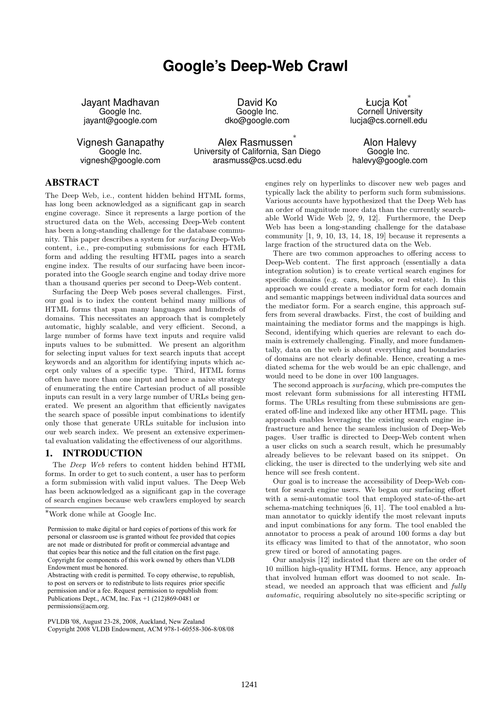# **Google's Deep-Web Crawl**

Jayant Madhavan David Ko Łucja Kot jayant@google.com dko@google.com lucja@cs.cornell.edu

Vignesh Ganapathy<br>Google Inc.

Alex Rasmussen Google Inc. University of California, San Diego Google Inc. arasmuss@cs.ucsd.edu halevy@google.com arasmuss@cs.ucsd.edu

Łucja Kot Google Inc. **Google Inc.** Google Inc. **Cornell University** 

Alon Halevy<br>Google Inc.

## ABSTRACT

The Deep Web, i.e., content hidden behind HTML forms, has long been acknowledged as a significant gap in search engine coverage. Since it represents a large portion of the structured data on the Web, accessing Deep-Web content has been a long-standing challenge for the database community. This paper describes a system for surfacing Deep-Web content, i.e., pre-computing submissions for each HTML form and adding the resulting HTML pages into a search engine index. The results of our surfacing have been incorporated into the Google search engine and today drive more than a thousand queries per second to Deep-Web content.

Surfacing the Deep Web poses several challenges. First, our goal is to index the content behind many millions of HTML forms that span many languages and hundreds of domains. This necessitates an approach that is completely automatic, highly scalable, and very efficient. Second, a large number of forms have text inputs and require valid inputs values to be submitted. We present an algorithm for selecting input values for text search inputs that accept keywords and an algorithm for identifying inputs which accept only values of a specific type. Third, HTML forms often have more than one input and hence a naive strategy of enumerating the entire Cartesian product of all possible inputs can result in a very large number of URLs being generated. We present an algorithm that efficiently navigates the search space of possible input combinations to identify only those that generate URLs suitable for inclusion into our web search index. We present an extensive experimental evaluation validating the effectiveness of our algorithms.

## 1. INTRODUCTION

The Deep Web refers to content hidden behind HTML forms. In order to get to such content, a user has to perform a form submission with valid input values. The Deep Web has been acknowledged as a significant gap in the coverage of search engines because web crawlers employed by search engines rely on hyperlinks to discover new web pages and typically lack the ability to perform such form submissions. Various accounts have hypothesized that the Deep Web has an order of magnitude more data than the currently searchable World Wide Web [2, 9, 12]. Furthermore, the Deep Web has been a long-standing challenge for the database community [1, 9, 10, 13, 14, 18, 19] because it represents a large fraction of the structured data on the Web.

There are two common approaches to offering access to Deep-Web content. The first approach (essentially a data integration solution) is to create vertical search engines for specific domains (e.g. cars, books, or real estate). In this approach we could create a mediator form for each domain and semantic mappings between individual data sources and the mediator form. For a search engine, this approach suffers from several drawbacks. First, the cost of building and maintaining the mediator forms and the mappings is high. Second, identifying which queries are relevant to each domain is extremely challenging. Finally, and more fundamentally, data on the web is about everything and boundaries of domains are not clearly definable. Hence, creating a mediated schema for the web would be an epic challenge, and would need to be done in over 100 languages.

The second approach is surfacing, which pre-computes the most relevant form submissions for all interesting HTML forms. The URLs resulting from these submissions are generated off-line and indexed like any other HTML page. This approach enables leveraging the existing search engine infrastructure and hence the seamless inclusion of Deep-Web pages. User traffic is directed to Deep-Web content when a user clicks on such a search result, which he presumably already believes to be relevant based on its snippet. On clicking, the user is directed to the underlying web site and hence will see fresh content.

Our goal is to increase the accessibility of Deep-Web content for search engine users. We began our surfacing effort with a semi-automatic tool that employed state-of-the-art schema-matching techniques [6, 11]. The tool enabled a human annotator to quickly identify the most relevant inputs and input combinations for any form. The tool enabled the annotator to process a peak of around 100 forms a day but its efficacy was limited to that of the annotator, who soon grew tired or bored of annotating pages.

Our analysis [12] indicated that there are on the order of 10 million high-quality HTML forms. Hence, any approach that involved human effort was doomed to not scale. Instead, we needed an approach that was efficient and fully automatic, requiring absolutely no site-specific scripting or

<sup>∗</sup>Work done while at Google Inc.

 $P$ ersonal or classician to by granted without fee provided that copies are not made or distributed for profit or commercial advantage and<br>that copies has this paties and the folloitation on the first news that copies bear this houte and the full channol on the first page. Copyright for components of this work owned by others than VLDB  $B_n$ ase Endowment. Thus be nonored. Permission to make digital or hard copies of portions of this work for personal or classroom use is granted without fee provided that copies that copies bear this notice and the full citation on the first page. Endowment must be honored.

Abstracting with credit is permitted. To copy otherwise, to republish, to post on servers or to redistribute to lists requires prior specific permission and/or a fee. Request permission to republish from: Publications Dept., ACM, Inc. Fax  $+1$  (212)869-0481 or permissions@acm.org.

PVLDB '08, August 23-28, 2008, Auckland, New Zealand Copyright 2008 VLDB Endowment, ACM 978-1-60558-306-8/08/08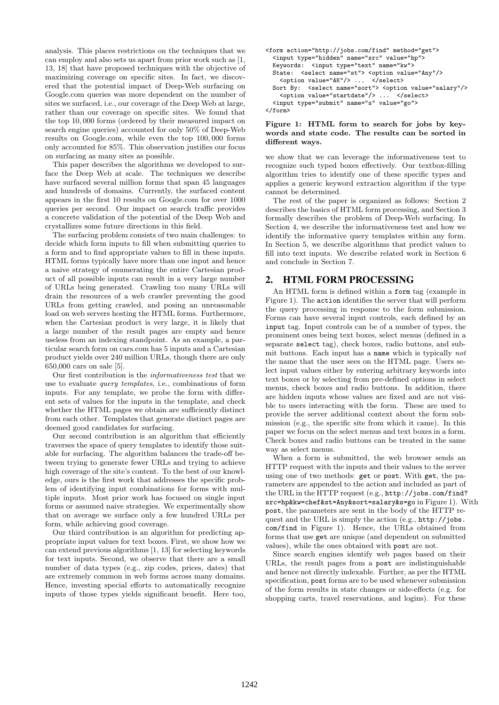analysis. This places restrictions on the techniques that we can employ and also sets us apart from prior work such as [1, 13, 18] that have proposed techniques with the objective of maximizing coverage on specific sites. In fact, we discovered that the potential impact of Deep-Web surfacing on Google.com queries was more dependent on the number of sites we surfaced, i.e., our coverage of the Deep Web at large, rather than our coverage on specific sites. We found that the top 10, 000 forms (ordered by their measured impact on search engine queries) accounted for only 50% of Deep-Web results on Google.com, while even the top 100, 000 forms only accounted for 85%. This observation justifies our focus on surfacing as many sites as possible.

This paper describes the algorithms we developed to surface the Deep Web at scale. The techniques we describe have surfaced several million forms that span 45 languages and hundreds of domains. Currently, the surfaced content appears in the first 10 results on Google.com for over 1000 queries per second. Our impact on search traffic provides a concrete validation of the potential of the Deep Web and crystallizes some future directions in this field.

The surfacing problem consists of two main challenges: to decide which form inputs to fill when submitting queries to a form and to find appropriate values to fill in these inputs. HTML forms typically have more than one input and hence a naive strategy of enumerating the entire Cartesian product of all possible inputs can result in a very large number of URLs being generated. Crawling too many URLs will drain the resources of a web crawler preventing the good URLs from getting crawled, and posing an unreasonable load on web servers hosting the HTML forms. Furthermore, when the Cartesian product is very large, it is likely that a large number of the result pages are empty and hence useless from an indexing standpoint. As an example, a particular search form on cars.com has 5 inputs and a Cartesian product yields over 240 million URLs, though there are only 650,000 cars on sale [5].

Our first contribution is the informativeness test that we use to evaluate query templates, i.e., combinations of form inputs. For any template, we probe the form with different sets of values for the inputs in the template, and check whether the HTML pages we obtain are sufficiently distinct from each other. Templates that generate distinct pages are deemed good candidates for surfacing.

Our second contribution is an algorithm that efficiently traverses the space of query templates to identify those suitable for surfacing. The algorithm balances the trade-off between trying to generate fewer URLs and trying to achieve high coverage of the site's content. To the best of our knowledge, ours is the first work that addresses the specific problem of identifying input combinations for forms with multiple inputs. Most prior work has focused on single input forms or assumed naive strategies. We experimentally show that on average we surface only a few hundred URLs per form, while achieving good coverage.

Our third contribution is an algorithm for predicting appropriate input values for text boxes. First, we show how we can extend previous algorithms [1, 13] for selecting keywords for text inputs. Second, we observe that there are a small number of data types (e.g., zip codes, prices, dates) that are extremely common in web forms across many domains. Hence, investing special efforts to automatically recognize inputs of those types yields significant benefit. Here too,

```
<form action="http://jobs.com/find" method="get">
 <input type="hidden" name="src" value="hp">
 Keywords: <input type="text" name="kw">
 State: <select name="st"> <option value="Any"/>
   <option value="AK"/> ... </select>
 Sort By: <select name="sort"> <option value="salary"/>
   <option value="startdate"/> ... </select>
 <input type="submit" name="s" value="go">
</form>
```
#### Figure 1: HTML form to search for jobs by keywords and state code. The results can be sorted in different ways.

we show that we can leverage the informativeness test to recognize such typed boxes effectively. Our textbox-filling algorithm tries to identify one of these specific types and applies a generic keyword extraction algorithm if the type cannot be determined.

The rest of the paper is organized as follows: Section 2 describes the basics of HTML form processing, and Section 3 formally describes the problem of Deep-Web surfacing. In Section 4, we describe the informativeness test and how we identify the informative query templates within any form. In Section 5, we describe algorithms that predict values to fill into text inputs. We describe related work in Section 6 and conclude in Section 7.

## 2. HTML FORM PROCESSING

An HTML form is defined within a form tag (example in Figure 1). The action identifies the server that will perform the query processing in response to the form submission. Forms can have several input controls, each defined by an input tag. Input controls can be of a number of types, the prominent ones being text boxes, select menus (defined in a separate select tag), check boxes, radio buttons, and submit buttons. Each input has a name which is typically not the name that the user sees on the HTML page. Users select input values either by entering arbitrary keywords into text boxes or by selecting from pre-defined options in select menus, check boxes and radio buttons. In addition, there are hidden inputs whose values are fixed and are not visible to users interacting with the form. These are used to provide the server additional context about the form submission (e.g., the specific site from which it came). In this paper we focus on the select menus and text boxes in a form. Check boxes and radio buttons can be treated in the same way as select menus.

When a form is submitted, the web browser sends an HTTP request with the inputs and their values to the server using one of two methods: get or post. With get, the parameters are appended to the action and included as part of the URL in the HTTP request (e.g., http://jobs.com/find? src=hp&kw=chef&st=Any&sort=salary&s=go in Figure 1). With post, the parameters are sent in the body of the HTTP request and the URL is simply the action (e.g., http://jobs. com/find in Figure 1). Hence, the URLs obtained from forms that use get are unique (and dependent on submitted values), while the ones obtained with post are not.

Since search engines identify web pages based on their URLs, the result pages from a post are indistinguishable and hence not directly indexable. Further, as per the HTML specification, post forms are to be used whenever submission of the form results in state changes or side-effects (e.g. for shopping carts, travel reservations, and logins). For these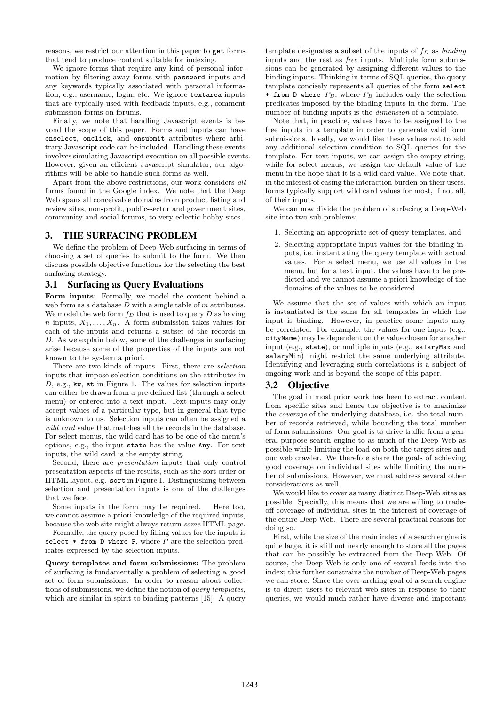reasons, we restrict our attention in this paper to get forms that tend to produce content suitable for indexing.

We ignore forms that require any kind of personal information by filtering away forms with password inputs and any keywords typically associated with personal information, e.g., username, login, etc. We ignore textarea inputs that are typically used with feedback inputs, e.g., comment submission forms on forums.

Finally, we note that handling Javascript events is beyond the scope of this paper. Forms and inputs can have onselect, onclick, and onsubmit attributes where arbitrary Javascript code can be included. Handling these events involves simulating Javascript execution on all possible events. However, given an efficient Javascript simulator, our algorithms will be able to handle such forms as well.

Apart from the above restrictions, our work considers all forms found in the Google index. We note that the Deep Web spans all conceivable domains from product listing and review sites, non-profit, public-sector and government sites, community and social forums, to very eclectic hobby sites.

## 3. THE SURFACING PROBLEM

We define the problem of Deep-Web surfacing in terms of choosing a set of queries to submit to the form. We then discuss possible objective functions for the selecting the best surfacing strategy.

## 3.1 Surfacing as Query Evaluations

Form inputs: Formally, we model the content behind a web form as a database  $D$  with a single table of  $m$  attributes. We model the web form  $f_D$  that is used to query  $D$  as having n inputs,  $X_1, \ldots, X_n$ . A form submission takes values for each of the inputs and returns a subset of the records in D. As we explain below, some of the challenges in surfacing arise because some of the properties of the inputs are not known to the system a priori.

There are two kinds of inputs. First, there are selection inputs that impose selection conditions on the attributes in D, e.g., kw, st in Figure 1. The values for selection inputs can either be drawn from a pre-defined list (through a select menu) or entered into a text input. Text inputs may only accept values of a particular type, but in general that type is unknown to us. Selection inputs can often be assigned a wild card value that matches all the records in the database. For select menus, the wild card has to be one of the menu's options, e.g., the input state has the value Any. For text inputs, the wild card is the empty string.

Second, there are presentation inputs that only control presentation aspects of the results, such as the sort order or HTML layout, e.g. sort in Figure 1. Distinguishing between selection and presentation inputs is one of the challenges that we face.

Some inputs in the form may be required. Here too, we cannot assume a priori knowledge of the required inputs, because the web site might always return some HTML page.

Formally, the query posed by filling values for the inputs is select  $*$  from D where P, where P are the selection predicates expressed by the selection inputs.

Query templates and form submissions: The problem of surfacing is fundamentally a problem of selecting a good set of form submissions. In order to reason about collections of submissions, we define the notion of query templates, which are similar in spirit to binding patterns [15]. A query

template designates a subset of the inputs of  $f<sub>D</sub>$  as binding inputs and the rest as free inputs. Multiple form submissions can be generated by assigning different values to the binding inputs. Thinking in terms of SQL queries, the query template concisely represents all queries of the form select \* from D where  $P_B$ , where  $P_B$  includes only the selection predicates imposed by the binding inputs in the form. The number of binding inputs is the *dimension* of a template.

Note that, in practice, values have to be assigned to the free inputs in a template in order to generate valid form submissions. Ideally, we would like these values not to add any additional selection condition to SQL queries for the template. For text inputs, we can assign the empty string, while for select menus, we assign the default value of the menu in the hope that it is a wild card value. We note that, in the interest of easing the interaction burden on their users, forms typically support wild card values for most, if not all, of their inputs.

We can now divide the problem of surfacing a Deep-Web site into two sub-problems:

- 1. Selecting an appropriate set of query templates, and
- 2. Selecting appropriate input values for the binding inputs, i.e. instantiating the query template with actual values. For a select menu, we use all values in the menu, but for a text input, the values have to be predicted and we cannot assume a priori knowledge of the domains of the values to be considered.

We assume that the set of values with which an input is instantiated is the same for all templates in which the input is binding. However, in practice some inputs may be correlated. For example, the values for one input (e.g., cityName) may be dependent on the value chosen for another input (e.g., state), or multiple inputs (e.g., salaryMax and salaryMin) might restrict the same underlying attribute. Identifying and leveraging such correlations is a subject of ongoing work and is beyond the scope of this paper.

## 3.2 Objective

The goal in most prior work has been to extract content from specific sites and hence the objective is to maximize the coverage of the underlying database, i.e. the total number of records retrieved, while bounding the total number of form submissions. Our goal is to drive traffic from a general purpose search engine to as much of the Deep Web as possible while limiting the load on both the target sites and our web crawler. We therefore share the goals of achieving good coverage on individual sites while limiting the number of submissions. However, we must address several other considerations as well.

We would like to cover as many distinct Deep-Web sites as possible. Specially, this means that we are willing to tradeoff coverage of individual sites in the interest of coverage of the entire Deep Web. There are several practical reasons for doing so.

First, while the size of the main index of a search engine is quite large, it is still not nearly enough to store all the pages that can be possibly be extracted from the Deep Web. Of course, the Deep Web is only one of several feeds into the index; this further constrains the number of Deep-Web pages we can store. Since the over-arching goal of a search engine is to direct users to relevant web sites in response to their queries, we would much rather have diverse and important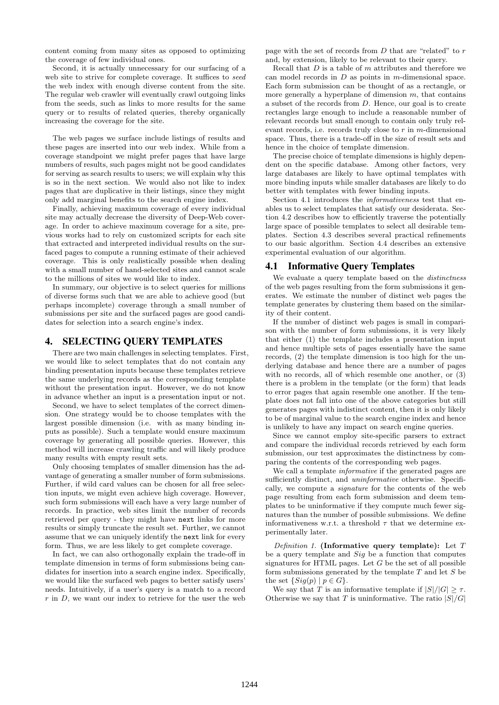content coming from many sites as opposed to optimizing the coverage of few individual ones.

Second, it is actually unnecessary for our surfacing of a web site to strive for complete coverage. It suffices to seed the web index with enough diverse content from the site. The regular web crawler will eventually crawl outgoing links from the seeds, such as links to more results for the same query or to results of related queries, thereby organically increasing the coverage for the site.

The web pages we surface include listings of results and these pages are inserted into our web index. While from a coverage standpoint we might prefer pages that have large numbers of results, such pages might not be good candidates for serving as search results to users; we will explain why this is so in the next section. We would also not like to index pages that are duplicative in their listings, since they might only add marginal benefits to the search engine index.

Finally, achieving maximum coverage of every individual site may actually decrease the diversity of Deep-Web coverage. In order to achieve maximum coverage for a site, previous works had to rely on customized scripts for each site that extracted and interpreted individual results on the surfaced pages to compute a running estimate of their achieved coverage. This is only realistically possible when dealing with a small number of hand-selected sites and cannot scale to the millions of sites we would like to index.

In summary, our objective is to select queries for millions of diverse forms such that we are able to achieve good (but perhaps incomplete) coverage through a small number of submissions per site and the surfaced pages are good candidates for selection into a search engine's index.

#### 4. SELECTING QUERY TEMPLATES

There are two main challenges in selecting templates. First, we would like to select templates that do not contain any binding presentation inputs because these templates retrieve the same underlying records as the corresponding template without the presentation input. However, we do not know in advance whether an input is a presentation input or not.

Second, we have to select templates of the correct dimension. One strategy would be to choose templates with the largest possible dimension (i.e. with as many binding inputs as possible). Such a template would ensure maximum coverage by generating all possible queries. However, this method will increase crawling traffic and will likely produce many results with empty result sets.

Only choosing templates of smaller dimension has the advantage of generating a smaller number of form submissions. Further, if wild card values can be chosen for all free selection inputs, we might even achieve high coverage. However, such form submissions will each have a very large number of records. In practice, web sites limit the number of records retrieved per query - they might have next links for more results or simply truncate the result set. Further, we cannot assume that we can uniquely identify the next link for every form. Thus, we are less likely to get complete coverage.

In fact, we can also orthogonally explain the trade-off in template dimension in terms of form submissions being candidates for insertion into a search engine index. Specifically, we would like the surfaced web pages to better satisfy users' needs. Intuitively, if a user's query is a match to a record  $r$  in  $D$ , we want our index to retrieve for the user the web

page with the set of records from  $D$  that are "related" to  $r$ and, by extension, likely to be relevant to their query.

Recall that  $D$  is a table of  $m$  attributes and therefore we can model records in  $D$  as points in  $m$ -dimensional space. Each form submission can be thought of as a rectangle, or more generally a hyperplane of dimension  $m$ , that contains a subset of the records from D. Hence, our goal is to create rectangles large enough to include a reasonable number of relevant records but small enough to contain only truly relevant records, i.e. records truly close to  $r$  in  $m$ -dimensional space. Thus, there is a trade-off in the size of result sets and hence in the choice of template dimension.

The precise choice of template dimensions is highly dependent on the specific database. Among other factors, very large databases are likely to have optimal templates with more binding inputs while smaller databases are likely to do better with templates with fewer binding inputs.

Section 4.1 introduces the informativeness test that enables us to select templates that satisfy our desiderata. Section 4.2 describes how to efficiently traverse the potentially large space of possible templates to select all desirable templates. Section 4.3 describes several practical refinements to our basic algorithm. Section 4.4 describes an extensive experimental evaluation of our algorithm.

#### 4.1 Informative Query Templates

We evaluate a query template based on the *distinctness* of the web pages resulting from the form submissions it generates. We estimate the number of distinct web pages the template generates by clustering them based on the similarity of their content.

If the number of distinct web pages is small in comparison with the number of form submissions, it is very likely that either (1) the template includes a presentation input and hence multiple sets of pages essentially have the same records, (2) the template dimension is too high for the underlying database and hence there are a number of pages with no records, all of which resemble one another, or (3) there is a problem in the template (or the form) that leads to error pages that again resemble one another. If the template does not fall into one of the above categories but still generates pages with indistinct content, then it is only likely to be of marginal value to the search engine index and hence is unlikely to have any impact on search engine queries.

Since we cannot employ site-specific parsers to extract and compare the individual records retrieved by each form submission, our test approximates the distinctness by comparing the contents of the corresponding web pages.

We call a template *informative* if the generated pages are sufficiently distinct, and *uninformative* otherwise. Specifically, we compute a signature for the contents of the web page resulting from each form submission and deem templates to be uninformative if they compute much fewer signatures than the number of possible submissions. We define informativeness w.r.t. a threshold  $\tau$  that we determine experimentally later.

Definition 1. (Informative query template): Let  $T$ be a query template and Sig be a function that computes signatures for HTML pages. Let  $G$  be the set of all possible form submissions generated by the template  $T$  and let  $S$  be the set  $\{Sig(p) | p \in G\}.$ 

We say that T is an informative template if  $|S|/|G| \geq \tau$ . Otherwise we say that T is uninformative. The ratio  $|S|/G|$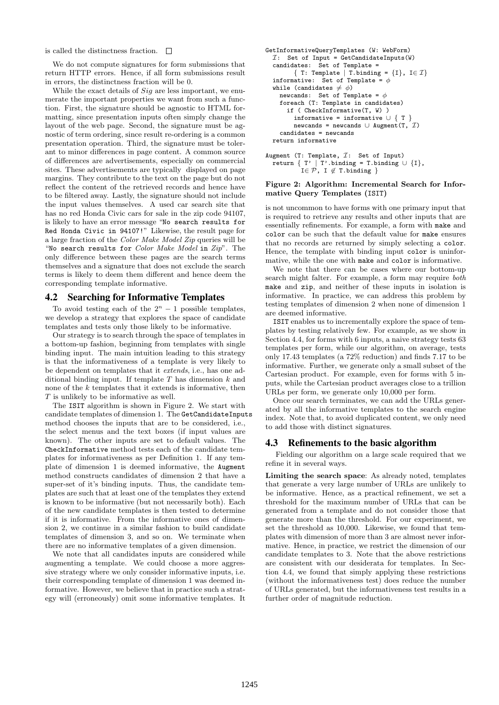is called the distinctness fraction.  $\quad \Box$ 

We do not compute signatures for form submissions that return HTTP errors. Hence, if all form submissions result in errors, the distinctness fraction will be 0.

While the exact details of  $Sig$  are less important, we enumerate the important properties we want from such a function. First, the signature should be agnostic to HTML formatting, since presentation inputs often simply change the layout of the web page. Second, the signature must be agnostic of term ordering, since result re-ordering is a common presentation operation. Third, the signature must be tolerant to minor differences in page content. A common source of differences are advertisements, especially on commercial sites. These advertisements are typically displayed on page margins. They contribute to the text on the page but do not reflect the content of the retrieved records and hence have to be filtered away. Lastly, the signature should not include the input values themselves. A used car search site that has no red Honda Civic cars for sale in the zip code 94107, is likely to have an error message "No search results for Red Honda Civic in 94107!" Likewise, the result page for a large fraction of the Color Make Model Zip queries will be "No search results for  $Color$  Make Model in  $Zip$ ". The only difference between these pages are the search terms themselves and a signature that does not exclude the search terms is likely to deem them different and hence deem the corresponding template informative.

#### 4.2 Searching for Informative Templates

To avoid testing each of the  $2<sup>n</sup> - 1$  possible templates, we develop a strategy that explores the space of candidate templates and tests only those likely to be informative.

Our strategy is to search through the space of templates in a bottom-up fashion, beginning from templates with single binding input. The main intuition leading to this strategy is that the informativeness of a template is very likely to be dependent on templates that it extends, i.e., has one additional binding input. If template  $T$  has dimension  $k$  and none of the k templates that it extends is informative, then T is unlikely to be informative as well.

The ISIT algorithm is shown in Figure 2. We start with candidate templates of dimension 1. The GetCandidateInputs method chooses the inputs that are to be considered, i.e., the select menus and the text boxes (if input values are known). The other inputs are set to default values. The CheckInformative method tests each of the candidate templates for informativeness as per Definition 1. If any template of dimension 1 is deemed informative, the Augment method constructs candidates of dimension 2 that have a super-set of it's binding inputs. Thus, the candidate templates are such that at least one of the templates they extend is known to be informative (but not necessarily both). Each of the new candidate templates is then tested to determine if it is informative. From the informative ones of dimension 2, we continue in a similar fashion to build candidate templates of dimension 3, and so on. We terminate when there are no informative templates of a given dimension.

We note that all candidates inputs are considered while augmenting a template. We could choose a more aggressive strategy where we only consider informative inputs, i.e. their corresponding template of dimension 1 was deemed informative. However, we believe that in practice such a strategy will (erroneously) omit some informative templates. It

```
GetInformativeQueryTemplates (W: WebForm)
  I: Set of Input = GetCandidateInputs(W)
  candidates: Set of Template =
         { T: Template | T.binding = \{I\}, I \in \mathcal{I}}
  informative: Set of Template = \phiwhile (candidates \neq \phi)
    newcands: Set of Template = \phiforeach (T: Template in candidates)
       if ( CheckInformative(T, W) )
         informative = informative \cup { T }
         newcands = newcands ∪ Augment(T, \mathcal{I})
    candidates = newcands
  return informative
Augment (T: Template, \mathcal{I}: Set of Input)
  return { T' | T'.binding = T.binding \cup {I},
           I \in \mathcal{P}, I \notin T. binding }
```
#### Figure 2: Algorithm: Incremental Search for Informative Query Templates (ISIT)

is not uncommon to have forms with one primary input that is required to retrieve any results and other inputs that are essentially refinements. For example, a form with make and color can be such that the default value for make ensures that no records are returned by simply selecting a color. Hence, the template with binding input color is uninformative, while the one with make and color is informative.

We note that there can be cases where our bottom-up search might falter. For example, a form may require both make and zip, and neither of these inputs in isolation is informative. In practice, we can address this problem by testing templates of dimension 2 when none of dimension 1 are deemed informative.

ISIT enables us to incrementally explore the space of templates by testing relatively few. For example, as we show in Section 4.4, for forms with 6 inputs, a naive strategy tests 63 templates per form, while our algorithm, on average, tests only 17.43 templates (a 72% reduction) and finds 7.17 to be informative. Further, we generate only a small subset of the Cartesian product. For example, even for forms with 5 inputs, while the Cartesian product averages close to a trillion URLs per form, we generate only 10,000 per form.

Once our search terminates, we can add the URLs generated by all the informative templates to the search engine index. Note that, to avoid duplicated content, we only need to add those with distinct signatures.

#### 4.3 Refinements to the basic algorithm

Fielding our algorithm on a large scale required that we refine it in several ways.

Limiting the search space: As already noted, templates that generate a very large number of URLs are unlikely to be informative. Hence, as a practical refinement, we set a threshold for the maximum number of URLs that can be generated from a template and do not consider those that generate more than the threshold. For our experiment, we set the threshold as 10,000. Likewise, we found that templates with dimension of more than 3 are almost never informative. Hence, in practice, we restrict the dimension of our candidate templates to 3. Note that the above restrictions are consistent with our desiderata for templates. In Section 4.4, we found that simply applying these restrictions (without the informativeness test) does reduce the number of URLs generated, but the informativeness test results in a further order of magnitude reduction.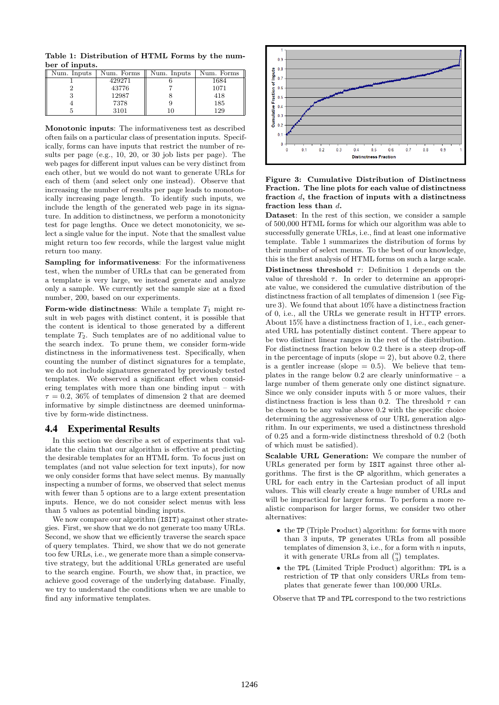Table 1: Distribution of HTML Forms by the number of inputs.

| Num. Inputs | Num. Forms | Num. Inputs | Num. Forms |
|-------------|------------|-------------|------------|
|             | 429271     |             | 1684       |
|             | 43776      |             | 1071       |
|             | 12987      |             | 418        |
|             | 7378       |             | 185        |
|             | 3101       |             | 129        |

Monotonic inputs: The informativeness test as described often fails on a particular class of presentation inputs. Specifically, forms can have inputs that restrict the number of results per page (e.g., 10, 20, or 30 job lists per page). The web pages for different input values can be very distinct from each other, but we would do not want to generate URLs for each of them (and select only one instead). Observe that increasing the number of results per page leads to monotonically increasing page length. To identify such inputs, we include the length of the generated web page in its signature. In addition to distinctness, we perform a monotonicity test for page lengths. Once we detect monotonicity, we select a single value for the input. Note that the smallest value might return too few records, while the largest value might return too many.

Sampling for informativeness: For the informativeness test, when the number of URLs that can be generated from a template is very large, we instead generate and analyze only a sample. We currently set the sample size at a fixed number, 200, based on our experiments.

Form-wide distinctness: While a template  $T_1$  might result in web pages with distinct content, it is possible that the content is identical to those generated by a different template  $T_2$ . Such templates are of no additional value to the search index. To prune them, we consider form-wide distinctness in the informativeness test. Specifically, when counting the number of distinct signatures for a template, we do not include signatures generated by previously tested templates. We observed a significant effect when considering templates with more than one binding input – with  $\tau = 0.2, 36\%$  of templates of dimension 2 that are deemed informative by simple distinctness are deemed uninformative by form-wide distinctness.

## 4.4 Experimental Results

In this section we describe a set of experiments that validate the claim that our algorithm is effective at predicting the desirable templates for an HTML form. To focus just on templates (and not value selection for text inputs), for now we only consider forms that have select menus. By manually inspecting a number of forms, we observed that select menus with fewer than 5 options are to a large extent presentation inputs. Hence, we do not consider select menus with less than 5 values as potential binding inputs.

We now compare our algorithm (ISIT) against other strategies. First, we show that we do not generate too many URLs. Second, we show that we efficiently traverse the search space of query templates. Third, we show that we do not generate too few URLs, i.e., we generate more than a simple conservative strategy, but the additional URLs generated are useful to the search engine. Fourth, we show that, in practice, we achieve good coverage of the underlying database. Finally, we try to understand the conditions when we are unable to find any informative templates.



#### Figure 3: Cumulative Distribution of Distinctness Fraction. The line plots for each value of distinctness fraction  $d$ , the fraction of inputs with a distinctness fraction less than d.

Dataset: In the rest of this section, we consider a sample of 500,000 HTML forms for which our algorithm was able to successfully generate URLs, i.e., find at least one informative template. Table 1 summarizes the distribution of forms by their number of select menus. To the best of our knowledge, this is the first analysis of HTML forms on such a large scale.

Distinctness threshold  $\tau$ : Definition 1 depends on the value of threshold  $\tau$ . In order to determine an appropriate value, we considered the cumulative distribution of the distinctness fraction of all templates of dimension 1 (see Figure 3). We found that about 10% have a distinctness fraction of 0, i.e., all the URLs we generate result in HTTP errors. About 15% have a distinctness fraction of 1, i.e., each generated URL has potentially distinct content. There appear to be two distinct linear ranges in the rest of the distribution. For distinctness fraction below 0.2 there is a steep drop-off in the percentage of inputs (slope  $= 2$ ), but above 0.2, there is a gentler increase (slope  $= 0.5$ ). We believe that templates in the range below  $0.2$  are clearly uninformative – a large number of them generate only one distinct signature. Since we only consider inputs with 5 or more values, their distinctness fraction is less than 0.2. The threshold  $\tau$  can be chosen to be any value above 0.2 with the specific choice determining the aggressiveness of our URL generation algorithm. In our experiments, we used a distinctness threshold of 0.25 and a form-wide distinctness threshold of 0.2 (both of which must be satisfied).

Scalable URL Generation: We compare the number of URLs generated per form by ISIT against three other algorithms. The first is the CP algorithm, which generates a URL for each entry in the Cartesian product of all input values. This will clearly create a huge number of URLs and will be impractical for larger forms. To perform a more realistic comparison for larger forms, we consider two other alternatives:

- the TP (Triple Product) algorithm: for forms with more than 3 inputs, TP generates URLs from all possible templates of dimension 3, i.e., for a form with  $n$  inputs, it with generate URLs from all  $\binom{n}{3}$  templates.
- the TPL (Limited Triple Product) algorithm: TPL is a restriction of TP that only considers URLs from templates that generate fewer than 100,000 URLs.

Observe that TP and TPL correspond to the two restrictions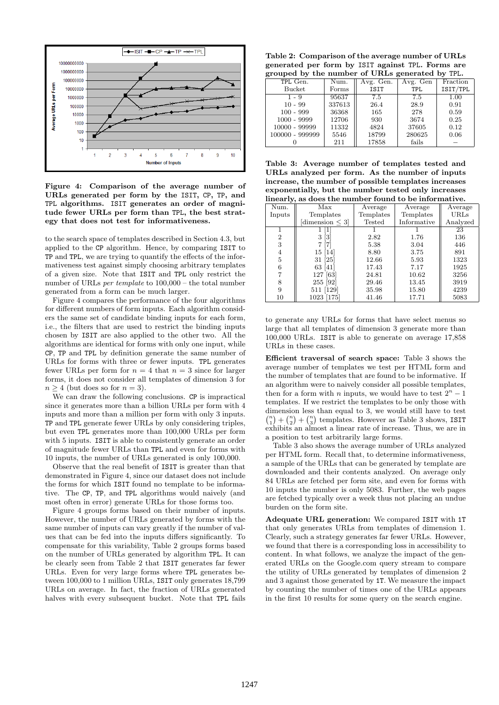

Figure 4: Comparison of the average number of URLs generated per form by the ISIT, CP, TP, and TPL algorithms. ISIT generates an order of magnitude fewer URLs per form than TPL, the best strategy that does not test for informativeness.

to the search space of templates described in Section 4.3, but applied to the CP algorithm. Hence, by comparing ISIT to TP and TPL, we are trying to quantify the effects of the informativeness test against simply choosing arbitrary templates of a given size. Note that ISIT and TPL only restrict the number of URLs per template to 100,000 – the total number generated from a form can be much larger.

Figure 4 compares the performance of the four algorithms for different numbers of form inputs. Each algorithm considers the same set of candidate binding inputs for each form, i.e., the filters that are used to restrict the binding inputs chosen by ISIT are also applied to the other two. All the algorithms are identical for forms with only one input, while CP, TP and TPL by definition generate the same number of URLs for forms with three or fewer inputs. TPL generates fewer URLs per form for  $n = 4$  that  $n = 3$  since for larger forms, it does not consider all templates of dimension 3 for  $n > 4$  (but does so for  $n = 3$ ).

We can draw the following conclusions. CP is impractical since it generates more than a billion URLs per form with 4 inputs and more than a million per form with only 3 inputs. TP and TPL generate fewer URLs by only considering triples, but even TPL generates more than 100,000 URLs per form with 5 inputs. ISIT is able to consistently generate an order of magnitude fewer URLs than TPL and even for forms with 10 inputs, the number of URLs generated is only 100,000.

Observe that the real benefit of ISIT is greater than that demonstrated in Figure 4, since our dataset does not include the forms for which ISIT found no template to be informative. The CP, TP, and TPL algorithms would naively (and most often in error) generate URLs for those forms too.

Figure 4 groups forms based on their number of inputs. However, the number of URLs generated by forms with the same number of inputs can vary greatly if the number of values that can be fed into the inputs differs significantly. To compensate for this variability, Table 2 groups forms based on the number of URLs generated by algorithm TPL. It can be clearly seen from Table 2 that ISIT generates far fewer URLs. Even for very large forms where TPL generates between 100,000 to 1 million URLs, ISIT only generates 18,799 URLs on average. In fact, the fraction of URLs generated halves with every subsequent bucket. Note that TPL fails

Table 2: Comparison of the average number of URLs generated per form by ISIT against TPL. Forms are grouped by the number of URLs generated by TPL.

| grouped by the humber of Ortus generated by Irl. |        |           |          |          |  |  |  |
|--------------------------------------------------|--------|-----------|----------|----------|--|--|--|
| TPL Gen.                                         | Num.   | Avg. Gen. | Avg. Gen | Fraction |  |  |  |
| Bucket                                           | Forms  | ISIT      | TPL      | ISIT/TPL |  |  |  |
| $1 - 9$                                          | 95637  | 7.5       | 7.5      | 1.00     |  |  |  |
| $10 - 99$                                        | 337613 | 26.4      | 28.9     | 0.91     |  |  |  |
| $100 - 999$                                      | 36368  | 165       | 278      | 0.59     |  |  |  |
| $1000 - 9999$                                    | 12706  | 930       | 3674     | 0.25     |  |  |  |
| $10000 - 99999$                                  | 11332  | 4824      | 37605    | 0.12     |  |  |  |
| 100000 - 999999                                  | 5546   | 18799     | 280625   | 0.06     |  |  |  |
|                                                  | 211    | 17858     | fails    |          |  |  |  |

Table 3: Average number of templates tested and URLs analyzed per form. As the number of inputs increase, the number of possible templates increases exponentially, but the number tested only increases linearly, as does the number found to be informative.

| $\cdot$<br>Num. | Max                     | Average   | Average     | Average     |
|-----------------|-------------------------|-----------|-------------|-------------|
| Inputs          | Templates               | Templates | Templates   | <b>URLs</b> |
|                 | dimension $\leq$ 3      | Tested    | Informative | Analyzed    |
|                 |                         |           |             | 23          |
| $\overline{2}$  | 3<br>[3]                | 2.82      | 1.76        | 136         |
| 3               |                         | 5.38      | 3.04        | 446         |
| 4               | 15   14                 | 8.80      | 3.75        | 891         |
| 5               | $\left[25\right]$<br>31 | 12.66     | 5.93        | 1323        |
| 6               | 63<br> 41               | 17.43     | 7.17        | 1925        |
|                 | [63]<br>127             | 24.81     | 10.62       | 3256        |
| 8               | 255 [92]                | 29.46     | 13.45       | 3919        |
| 9               | 511 [129]               | 35.98     | 15.80       | 4239        |
| 10              | 1023 [175]              | 41.46     | 17.71       | 5083        |

to generate any URLs for forms that have select menus so large that all templates of dimension 3 generate more than 100,000 URLs. ISIT is able to generate on average 17,858 URLs in these cases.

Efficient traversal of search space: Table 3 shows the average number of templates we test per HTML form and the number of templates that are found to be informative. If an algorithm were to naively consider all possible templates, then for a form with *n* inputs, we would have to test  $2<sup>n</sup> - 1$ templates. If we restrict the templates to be only those with dimension less than equal to 3, we would still have to test  $\binom{n}{1} + \binom{n}{2} + \binom{n}{3}$  templates. However as Table 3 shows, ISIT exhibits an almost a linear rate of increase. Thus, we are in a position to test arbitrarily large forms.

Table 3 also shows the average number of URLs analyzed per HTML form. Recall that, to determine informativeness, a sample of the URLs that can be generated by template are downloaded and their contents analyzed. On average only 84 URLs are fetched per form site, and even for forms with 10 inputs the number is only 5083. Further, the web pages are fetched typically over a week thus not placing an undue burden on the form site.

Adequate URL generation: We compared ISIT with 1T that only generates URLs from templates of dimension 1. Clearly, such a strategy generates far fewer URLs. However, we found that there is a corresponding loss in accessibility to content. In what follows, we analyze the impact of the generated URLs on the Google.com query stream to compare the utility of URLs generated by templates of dimension 2 and 3 against those generated by 1T. We measure the impact by counting the number of times one of the URLs appears in the first 10 results for some query on the search engine.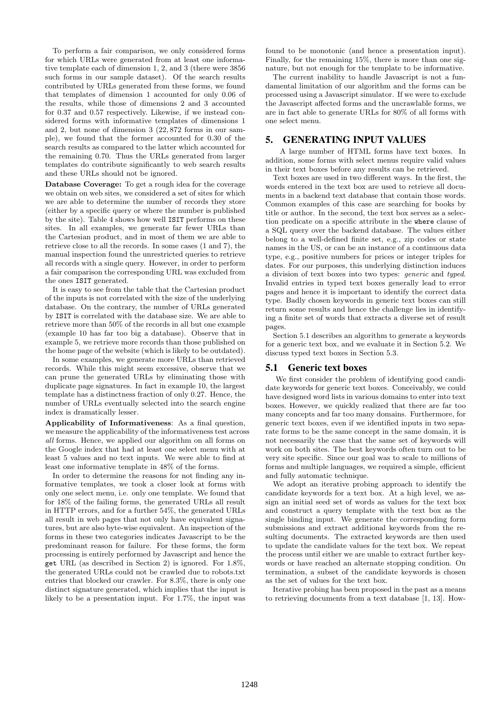To perform a fair comparison, we only considered forms for which URLs were generated from at least one informative template each of dimension 1, 2, and 3 (there were 3856 such forms in our sample dataset). Of the search results contributed by URLs generated from these forms, we found that templates of dimension 1 accounted for only 0.06 of the results, while those of dimensions 2 and 3 accounted for 0.37 and 0.57 respectively. Likewise, if we instead considered forms with informative templates of dimensions 1 and 2, but none of dimension 3 (22, 872 forms in our sample), we found that the former accounted for 0.30 of the search results as compared to the latter which accounted for the remaining 0.70. Thus the URLs generated from larger templates do contribute significantly to web search results and these URLs should not be ignored.

Database Coverage: To get a rough idea for the coverage we obtain on web sites, we considered a set of sites for which we are able to determine the number of records they store (either by a specific query or where the number is published by the site). Table 4 shows how well ISIT performs on these sites. In all examples, we generate far fewer URLs than the Cartesian product, and in most of them we are able to retrieve close to all the records. In some cases (1 and 7), the manual inspection found the unrestricted queries to retrieve all records with a single query. However, in order to perform a fair comparison the corresponding URL was excluded from the ones ISIT generated.

It is easy to see from the table that the Cartesian product of the inputs is not correlated with the size of the underlying database. On the contrary, the number of URLs generated by ISIT is correlated with the database size. We are able to retrieve more than 50% of the records in all but one example (example 10 has far too big a database). Observe that in example 5, we retrieve more records than those published on the home page of the website (which is likely to be outdated).

In some examples, we generate more URLs than retrieved records. While this might seem excessive, observe that we can prune the generated URLs by eliminating those with duplicate page signatures. In fact in example 10, the largest template has a distinctness fraction of only 0.27. Hence, the number of URLs eventually selected into the search engine index is dramatically lesser.

Applicability of Informativeness: As a final question, we measure the applicability of the informativeness test across all forms. Hence, we applied our algorithm on all forms on the Google index that had at least one select menu with at least 5 values and no text inputs. We were able to find at least one informative template in 48% of the forms.

In order to determine the reasons for not finding any informative templates, we took a closer look at forms with only one select menu, i.e. only one template. We found that for 18% of the failing forms, the generated URLs all result in HTTP errors, and for a further 54%, the generated URLs all result in web pages that not only have equivalent signatures, but are also byte-wise equivalent. An inspection of the forms in these two categories indicates Javascript to be the predominant reason for failure. For these forms, the form processing is entirely performed by Javascript and hence the get URL (as described in Section 2) is ignored. For 1.8%, the generated URLs could not be crawled due to robots.txt entries that blocked our crawler. For 8.3%, there is only one distinct signature generated, which implies that the input is likely to be a presentation input. For 1.7%, the input was

found to be monotonic (and hence a presentation input). Finally, for the remaining 15%, there is more than one signature, but not enough for the template to be informative.

The current inability to handle Javascript is not a fundamental limitation of our algorithm and the forms can be processed using a Javascript simulator. If we were to exclude the Javascript affected forms and the uncrawlable forms, we are in fact able to generate URLs for 80% of all forms with one select menu.

## 5. GENERATING INPUT VALUES

A large number of HTML forms have text boxes. In addition, some forms with select menus require valid values in their text boxes before any results can be retrieved.

Text boxes are used in two different ways. In the first, the words entered in the text box are used to retrieve all documents in a backend text database that contain those words. Common examples of this case are searching for books by title or author. In the second, the text box serves as a selection predicate on a specific attribute in the where clause of a SQL query over the backend database. The values either belong to a well-defined finite set, e.g., zip codes or state names in the US, or can be an instance of a continuous data type, e.g., positive numbers for prices or integer triples for dates. For our purposes, this underlying distinction induces a division of text boxes into two types: generic and typed. Invalid entries in typed text boxes generally lead to error pages and hence it is important to identify the correct data type. Badly chosen keywords in generic text boxes can still return some results and hence the challenge lies in identifying a finite set of words that extracts a diverse set of result pages.

Section 5.1 describes an algorithm to generate a keywords for a generic text box, and we evaluate it in Section 5.2. We discuss typed text boxes in Section 5.3.

#### 5.1 Generic text boxes

We first consider the problem of identifying good candidate keywords for generic text boxes. Conceivably, we could have designed word lists in various domains to enter into text boxes. However, we quickly realized that there are far too many concepts and far too many domains. Furthermore, for generic text boxes, even if we identified inputs in two separate forms to be the same concept in the same domain, it is not necessarily the case that the same set of keywords will work on both sites. The best keywords often turn out to be very site specific. Since our goal was to scale to millions of forms and multiple languages, we required a simple, efficient and fully automatic technique.

We adopt an iterative probing approach to identify the candidate keywords for a text box. At a high level, we assign an initial seed set of words as values for the text box and construct a query template with the text box as the single binding input. We generate the corresponding form submissions and extract additional keywords from the resulting documents. The extracted keywords are then used to update the candidate values for the text box. We repeat the process until either we are unable to extract further keywords or have reached an alternate stopping condition. On termination, a subset of the candidate keywords is chosen as the set of values for the text box.

Iterative probing has been proposed in the past as a means to retrieving documents from a text database [1, 13]. How-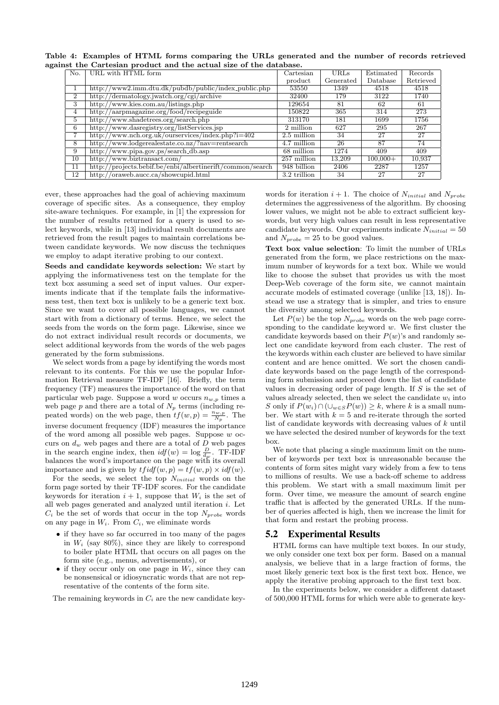Table 4: Examples of HTML forms comparing the URLs generated and the number of records retrieved against the Cartesian product and the actual size of the database.

| No.            | URL with HTML form                                        | Cartesian    | <b>URLs</b> | Estimated  | <b>Records</b> |
|----------------|-----------------------------------------------------------|--------------|-------------|------------|----------------|
|                |                                                           | product      | Generated   | Database   | Retrieved      |
|                | http://www2.imm.dtu.dk/pubdb/public/index_public.php      | 53550        | 1349        | 4518       | 4518           |
| $\overline{2}$ | http://dermatology.jwatch.org/cgi/archive                 | 32400        | 179         | 3122       | 1740           |
| 3              | http://www.kies.com.au/listings.php                       | 129654       | 81          | 62         | 61             |
| 4              | http://aarpmagazine.org/food/recipeguide                  | 150822       | 365         | 314        | 273            |
| 5              | http://www.shadetrees.org/search.php                      | 313170       | 181         | 1699       | 1756           |
| 6              | http://www.dasregistry.org/listServices.jsp               | 2 million    | 627         | 295        | 267            |
|                | http://www.nch.org.uk/ourservices/index.php?i=402         | 2.5 million  | 34          | 27         | 27             |
| 8              | http://www.lodgerealestate.co.nz/?nav=rentsearch          | 4.7 million  | 26          | 87         | 74             |
| 9              | http://www.pipa.gov.ps/search_db.asp                      | 68 million   | 1274        | 409        | 409            |
| 10             | $\frac{http://www.biztransact.com/$                       | 257 million  | 13.209      | $100,000+$ | 10.937         |
| 11             | http://projects.bebif.be/enbi/albertinerift/common/search | 948 billion  | 2406        | 2287       | 1257           |
| 12             | http://oraweb.aucc.ca/showcupid.html                      | 3.2 trillion | 34          | 27         | 27             |

ever, these approaches had the goal of achieving maximum coverage of specific sites. As a consequence, they employ site-aware techniques. For example, in [1] the expression for the number of results returned for a query is used to select keywords, while in [13] individual result documents are retrieved from the result pages to maintain correlations between candidate keywords. We now discuss the techniques we employ to adapt iterative probing to our context.

Seeds and candidate keywords selection: We start by applying the informativeness test on the template for the text box assuming a seed set of input values. Our experiments indicate that if the template fails the informativeness test, then text box is unlikely to be a generic text box. Since we want to cover all possible languages, we cannot start with from a dictionary of terms. Hence, we select the seeds from the words on the form page. Likewise, since we do not extract individual result records or documents, we select additional keywords from the words of the web pages generated by the form submissions.

We select words from a page by identifying the words most relevant to its contents. For this we use the popular Information Retrieval measure TF-IDF [16]. Briefly, the term frequency (TF) measures the importance of the word on that particular web page. Suppose a word w occurs  $n_{w,p}$  times a web page  $p$  and there are a total of  $N_p$  terms (including repeated words) on the web page, then  $tf(w, p) = \frac{n_{w, p}}{N_p}$ . The inverse document frequency (IDF) measures the importance of the word among all possible web pages. Suppose  $w$  occurs on  $d_w$  web pages and there are a total of  $D$  web pages in the search engine index, then  $\mathrm{i} df(w) = \log \frac{D}{d_w}$ . TF-IDF balances the word's importance on the page with its overall importance and is given by  $tfidf(w, p) = tf(w, p) \times idf(w)$ .

For the seeds, we select the top  $N_{initial}$  words on the form page sorted by their TF-IDF scores. For the candidate keywords for iteration  $i + 1$ , suppose that  $W_i$  is the set of all web pages generated and analyzed until iteration i. Let  $C_i$  be the set of words that occur in the top  $N_{probe}$  words on any page in  $W_i$ . From  $C_i$ , we eliminate words

- if they have so far occurred in too many of the pages in  $W_i$  (say 80%), since they are likely to correspond to boiler plate HTML that occurs on all pages on the form site (e.g., menus, advertisements), or
- if they occur only on one page in  $W_i$ , since they can be nonsensical or idiosyncratic words that are not representative of the contents of the form site.

The remaining keywords in  $C_i$  are the new candidate key-

words for iteration  $i + 1$ . The choice of  $N_{initial}$  and  $N_{probe}$ determines the aggressiveness of the algorithm. By choosing lower values, we might not be able to extract sufficient keywords, but very high values can result in less representative candidate keywords. Our experiments indicate  $N_{initial} = 50$ and  $N_{probe} = 25$  to be good values.

Text box value selection: To limit the number of URLs generated from the form, we place restrictions on the maximum number of keywords for a text box. While we would like to choose the subset that provides us with the most Deep-Web coverage of the form site, we cannot maintain accurate models of estimated coverage (unlike [13, 18]). Instead we use a strategy that is simpler, and tries to ensure the diversity among selected keywords.

Let  $P(w)$  be the top  $N_{probe}$  words on the web page corresponding to the candidate keyword  $w$ . We first cluster the candidate keywords based on their  $P(w)$ 's and randomly select one candidate keyword from each cluster. The rest of the keywords within each cluster are believed to have similar content and are hence omitted. We sort the chosen candidate keywords based on the page length of the corresponding form submission and proceed down the list of candidate values in decreasing order of page length. If  $S$  is the set of values already selected, then we select the candidate  $w_i$  into S only if  $P(w_i) \cap (\bigcup_{w \in S} P(w)) \geq k$ , where k is a small number. We start with  $k = 5$  and re-iterate through the sorted list of candidate keywords with decreasing values of k until we have selected the desired number of keywords for the text box.

We note that placing a single maximum limit on the number of keywords per text box is unreasonable because the contents of form sites might vary widely from a few to tens to millions of results. We use a back-off scheme to address this problem. We start with a small maximum limit per form. Over time, we measure the amount of search engine traffic that is affected by the generated URLs. If the number of queries affected is high, then we increase the limit for that form and restart the probing process.

#### 5.2 Experimental Results

HTML forms can have multiple text boxes. In our study, we only consider one text box per form. Based on a manual analysis, we believe that in a large fraction of forms, the most likely generic text box is the first text box. Hence, we apply the iterative probing approach to the first text box.

In the experiments below, we consider a different dataset of 500,000 HTML forms for which were able to generate key-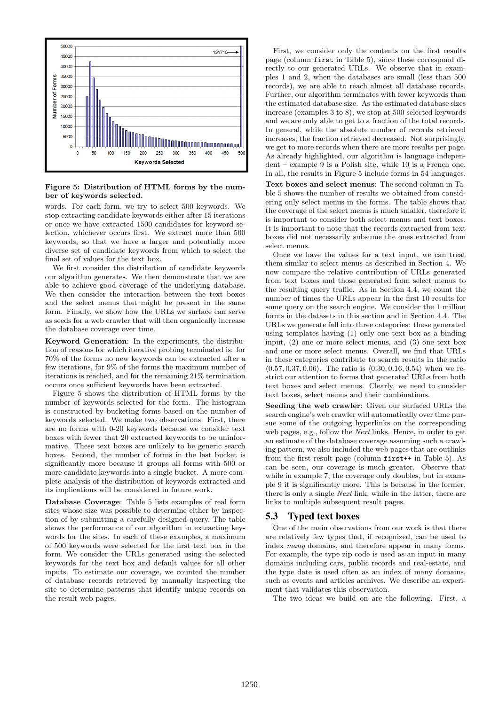

#### Figure 5: Distribution of HTML forms by the number of keywords selected.

words. For each form, we try to select 500 keywords. We stop extracting candidate keywords either after 15 iterations or once we have extracted 1500 candidates for keyword selection, whichever occurs first. We extract more than 500 keywords, so that we have a larger and potentially more diverse set of candidate keywords from which to select the final set of values for the text box.

We first consider the distribution of candidate keywords our algorithm generates. We then demonstrate that we are able to achieve good coverage of the underlying database. We then consider the interaction between the text boxes and the select menus that might be present in the same form. Finally, we show how the URLs we surface can serve as seeds for a web crawler that will then organically increase the database coverage over time.

Keyword Generation: In the experiments, the distribution of reasons for which iterative probing terminated is: for 70% of the forms no new keywords can be extracted after a few iterations, for 9% of the forms the maximum number of iterations is reached, and for the remaining 21% termination occurs once sufficient keywords have been extracted.

Figure 5 shows the distribution of HTML forms by the number of keywords selected for the form. The histogram is constructed by bucketing forms based on the number of keywords selected. We make two observations. First, there are no forms with 0-20 keywords because we consider text boxes with fewer that 20 extracted keywords to be uninformative. These text boxes are unlikely to be generic search boxes. Second, the number of forms in the last bucket is significantly more because it groups all forms with 500 or more candidate keywords into a single bucket. A more complete analysis of the distribution of keywords extracted and its implications will be considered in future work.

Database Coverage: Table 5 lists examples of real form sites whose size was possible to determine either by inspection of by submitting a carefully designed query. The table shows the performance of our algorithm in extracting keywords for the sites. In each of these examples, a maximum of 500 keywords were selected for the first text box in the form. We consider the URLs generated using the selected keywords for the text box and default values for all other inputs. To estimate our coverage, we counted the number of database records retrieved by manually inspecting the site to determine patterns that identify unique records on the result web pages.

First, we consider only the contents on the first results page (column first in Table 5), since these correspond directly to our generated URLs. We observe that in examples 1 and 2, when the databases are small (less than 500 records), we are able to reach almost all database records. Further, our algorithm terminates with fewer keywords than the estimated database size. As the estimated database sizes increase (examples 3 to 8), we stop at 500 selected keywords and we are only able to get to a fraction of the total records. In general, while the absolute number of records retrieved increases, the fraction retrieved decreased. Not surprisingly, we get to more records when there are more results per page. As already highlighted, our algorithm is language independent – example 9 is a Polish site, while 10 is a French one. In all, the results in Figure 5 include forms in 54 languages.

Text boxes and select menus: The second column in Table 5 shows the number of results we obtained from considering only select menus in the forms. The table shows that the coverage of the select menus is much smaller, therefore it is important to consider both select menus and text boxes. It is important to note that the records extracted from text boxes did not necessarily subsume the ones extracted from select menus.

Once we have the values for a text input, we can treat them similar to select menus as described in Section 4. We now compare the relative contribution of URLs generated from text boxes and those generated from select menus to the resulting query traffic. As in Section 4.4, we count the number of times the URLs appear in the first 10 results for some query on the search engine. We consider the 1 million forms in the datasets in this section and in Section 4.4. The URLs we generate fall into three categories: those generated using templates having (1) only one text box as a binding input, (2) one or more select menus, and (3) one text box and one or more select menus. Overall, we find that URLs in these categories contribute to search results in the ratio  $(0.57, 0.37, 0.06)$ . The ratio is  $(0.30, 0.16, 0.54)$  when we restrict our attention to forms that generated URLs from both text boxes and select menus. Clearly, we need to consider text boxes, select menus and their combinations.

Seeding the web crawler: Given our surfaced URLs the search engine's web crawler will automatically over time pursue some of the outgoing hyperlinks on the corresponding web pages, e.g., follow the *Next* links. Hence, in order to get an estimate of the database coverage assuming such a crawling pattern, we also included the web pages that are outlinks from the first result page (column first++ in Table 5). As can be seen, our coverage is much greater. Observe that while in example 7, the coverage only doubles, but in example 9 it is significantly more. This is because in the former, there is only a single Next link, while in the latter, there are links to multiple subsequent result pages.

## 5.3 Typed text boxes

One of the main observations from our work is that there are relatively few types that, if recognized, can be used to index many domains, and therefore appear in many forms. For example, the type zip code is used as an input in many domains including cars, public records and real-estate, and the type date is used often as an index of many domains, such as events and articles archives. We describe an experiment that validates this observation.

The two ideas we build on are the following. First, a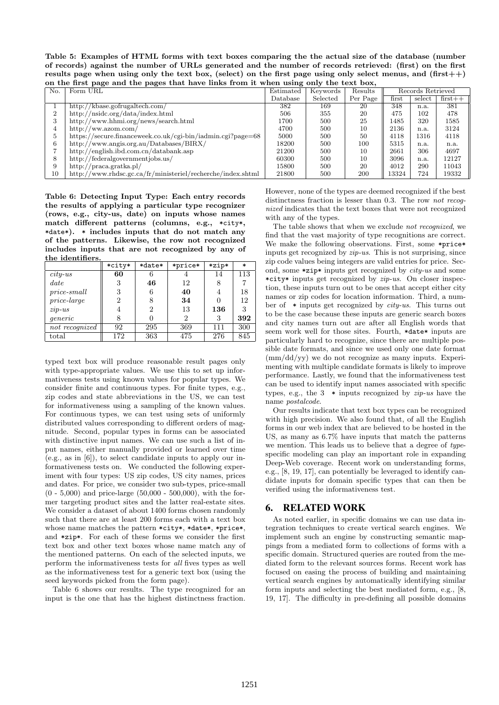Table 5: Examples of HTML forms with text boxes comparing the the actual size of the database (number of records) against the number of URLs generated and the number of records retrieved: (first) on the first results page when using only the text box, (select) on the first page using only select menus, and  $(first++)$ on the first page and the pages that have links from it when using only the text box,

|        | $\frac{1}{2}$ and $\frac{1}{2}$ and $\frac{1}{2}$ and $\frac{1}{2}$ and $\frac{1}{2}$ and $\frac{1}{2}$ and $\frac{1}{2}$ and $\frac{1}{2}$ and $\frac{1}{2}$ |           |          |          |                   |        |           |  |  |
|--------|---------------------------------------------------------------------------------------------------------------------------------------------------------------|-----------|----------|----------|-------------------|--------|-----------|--|--|
| No.    | Form URL                                                                                                                                                      | Estimated | Keywords | Results  | Records Retrieved |        |           |  |  |
|        |                                                                                                                                                               | Database  | Selected | Per Page | first             | select | $first++$ |  |  |
|        | http://kbase.gofrugaltech.com/                                                                                                                                | 382       | 169      | 20       | 348               | n.a.   | 381       |  |  |
| ີ<br>4 | http://nsidc.org/data/index.html                                                                                                                              | 506       | 355      | 20       | 475               | 102    | 478       |  |  |
|        | http://www.hhmi.org/news/search.html                                                                                                                          | 1700      | 500      | 25       | 1485              | 320    | 1585      |  |  |
| 4      | http://ww.azom.com/                                                                                                                                           | 4700      | 500      | 10       | 2136              | n.a.   | 3124      |  |  |
| Ð.     | https://secure.financeweek.co.uk/cgi-bin/iadmin.cgi?page=68                                                                                                   | 5000      | 500      | 50       | 4118              | 1316   | 4118      |  |  |
| 6      | http://www.angis.org.au/Databases/BIRX/                                                                                                                       | 18200     | 500      | 100      | 5315              | n.a.   | n.a.      |  |  |
|        | $http://english.id.com.cn/databank.argv$                                                                                                                      | 21200     | 500      | 10       | 2661              | 306    | 4697      |  |  |
| 8      | http://federalgovernmentjobs.us/                                                                                                                              | 60300     | 500      | 10       | 3096              | n.a.   | 12127     |  |  |
| 9      | http://praca.gratka.pl/                                                                                                                                       | 15800     | 500      | 20       | 4012              | 290    | 11043     |  |  |
| 10     | http://www.rhdsc.gc.ca/fr/ministeriel/recherche/index.shtml                                                                                                   | 21800     | 500      | 200      | 13324             | 724    | 19332     |  |  |

Table 6: Detecting Input Type: Each entry records the results of applying a particular type recognizer (rows, e.g., city-us, date) on inputs whose names match different patterns (columns, e.g., \*city\*, \*date\*). \* includes inputs that do not match any of the patterns. Likewise, the row not recognized includes inputs that are not recognized by any of the identifiers.

|                  | *city* | *date* | *price* | *zip* | $\ast$ |
|------------------|--------|--------|---------|-------|--------|
| $city\text{-}us$ | 60     | 6      | 4       | 14    | 113    |
| date             | 3      | 46     | 12      |       |        |
| $price - small$  | 3      | 6      | 40      |       | 18     |
| $price$ -large   | 2      | 8      | 34      |       | 12     |
| $zip-us$         | 4      | 2      | 13      | 136   | 3      |
| generic          | 8      |        | 2       | 3     | 392    |
| not recognized   | 92     | 295    | 369     | 111   | 300    |
| total            | 172    | 363    | 475     | 276   | 845    |

typed text box will produce reasonable result pages only with type-appropriate values. We use this to set up informativeness tests using known values for popular types. We consider finite and continuous types. For finite types, e.g., zip codes and state abbreviations in the US, we can test for informativeness using a sampling of the known values. For continuous types, we can test using sets of uniformly distributed values corresponding to different orders of magnitude. Second, popular types in forms can be associated with distinctive input names. We can use such a list of input names, either manually provided or learned over time (e.g., as in [6]), to select candidate inputs to apply our informativeness tests on. We conducted the following experiment with four types: US zip codes, US city names, prices and dates. For price, we consider two sub-types, price-small (0 - 5,000) and price-large (50,000 - 500,000), with the former targeting product sites and the latter real-estate sites. We consider a dataset of about 1400 forms chosen randomly such that there are at least 200 forms each with a text box whose name matches the pattern \*city\*, \*date\*, \*price\*, and \*zip\*. For each of these forms we consider the first text box and other text boxes whose name match any of the mentioned patterns. On each of the selected inputs, we perform the informativeness tests for all fives types as well as the informativeness test for a generic text box (using the seed keywords picked from the form page).

Table 6 shows our results. The type recognized for an input is the one that has the highest distinctness fraction.

However, none of the types are deemed recognized if the best distinctness fraction is lesser than 0.3. The row not recognized indicates that the text boxes that were not recognized with any of the types.

The table shows that when we exclude not recognized, we find that the vast majority of type recognitions are correct. We make the following observations. First, some \*price\* inputs get recognized by zip-us. This is not surprising, since zip code values being integers are valid entries for price. Second, some \*zip\* inputs get recognized by city-us and some \*city\* inputs get recognized by zip-us. On closer inspection, these inputs turn out to be ones that accept either city names or zip codes for location information. Third, a number of  $*$  inputs get recognized by *city-us*. This turns out to be the case because these inputs are generic search boxes and city names turn out are after all English words that seem work well for those sites. Fourth, \*date\* inputs are particularly hard to recognize, since there are multiple possible date formats, and since we used only one date format (mm/dd/yy) we do not recognize as many inputs. Experimenting with multiple candidate formats is likely to improve performance. Lastly, we found that the informativeness test can be used to identify input names associated with specific types, e.g., the  $3 *$  inputs recognized by  $zip-us$  have the name postalcode.

Our results indicate that text box types can be recognized with high precision. We also found that, of all the English forms in our web index that are believed to be hosted in the US, as many as 6.7% have inputs that match the patterns we mention. This leads us to believe that a degree of typespecific modeling can play an important role in expanding Deep-Web coverage. Recent work on understanding forms, e.g., [8, 19, 17], can potentially be leveraged to identify candidate inputs for domain specific types that can then be verified using the informativeness test.

## 6. RELATED WORK

As noted earlier, in specific domains we can use data integration techniques to create vertical search engines. We implement such an engine by constructing semantic mappings from a mediated form to collections of forms with a specific domain. Structured queries are routed from the mediated form to the relevant sources forms. Recent work has focused on easing the process of building and maintaining vertical search engines by automatically identifying similar form inputs and selecting the best mediated form, e.g., [8, 19, 17]. The difficulty in pre-defining all possible domains